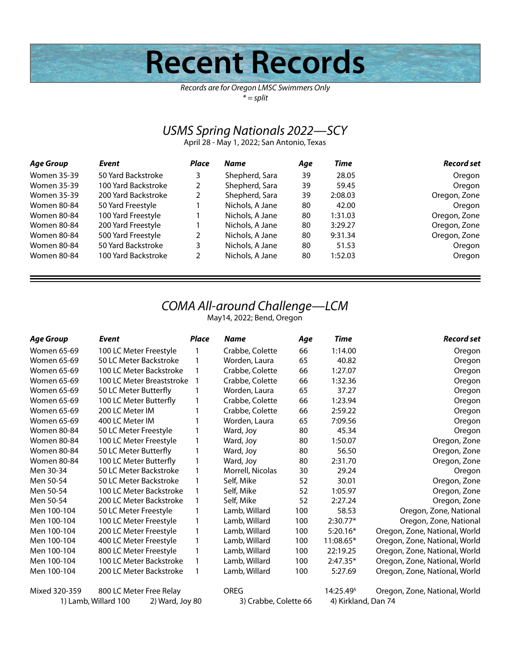# **Recent Records**

*Records are for Oregon LMSC Swimmers Only \* = split*

## *USMS Spring Nationals 2022—SCY*

April 28 - May 1, 2022; San Antonio, Texas

| Age Group          | Event               | Place | Name            | Age | Time    | <b>Record set</b> |
|--------------------|---------------------|-------|-----------------|-----|---------|-------------------|
| <b>Women 35-39</b> | 50 Yard Backstroke  | 3     | Shepherd, Sara  | 39  | 28.05   | Oregon            |
| <b>Women 35-39</b> | 100 Yard Backstroke | 2     | Shepherd, Sara  | 39  | 59.45   | Oregon            |
| <b>Women 35-39</b> | 200 Yard Backstroke | 2     | Shepherd, Sara  | 39  | 2:08.03 | Oregon, Zone      |
| Women 80-84        | 50 Yard Freestyle   |       | Nichols, A Jane | 80  | 42.00   | Oregon            |
| Women 80-84        | 100 Yard Freestyle  |       | Nichols, A Jane | 80  | 1:31.03 | Oregon, Zone      |
| Women 80-84        | 200 Yard Freestyle  |       | Nichols, A Jane | 80  | 3:29.27 | Oregon, Zone      |
| Women 80-84        | 500 Yard Freestyle  | 2     | Nichols, A Jane | 80  | 9:31.34 | Oregon, Zone      |
| Women 80-84        | 50 Yard Backstroke  | 3     | Nichols, A Jane | 80  | 51.53   | Oregon            |
| Women 80-84        | 100 Yard Backstroke | 2     | Nichols, A Jane | 80  | 1:52.03 | Oregon            |

## *COMA All-around Challenge—LCM*

May14, 2022; Bend, Oregon

| Age Group          | Event                                   | <b>Place</b> | Name                  | Age | Time                  | <b>Record set</b>             |
|--------------------|-----------------------------------------|--------------|-----------------------|-----|-----------------------|-------------------------------|
| Women 65-69        | 100 LC Meter Freestyle                  | 1            | Crabbe, Colette       | 66  | 1:14.00               | Oregon                        |
| Women 65-69        | 50 LC Meter Backstroke                  | 1            | Worden, Laura         | 65  | 40.82                 | Oregon                        |
| <b>Women 65-69</b> | 100 LC Meter Backstroke                 | 1            | Crabbe, Colette       | 66  | 1:27.07               | Oregon                        |
| Women 65-69        | 100 LC Meter Breaststroke               |              | Crabbe, Colette       | 66  | 1:32.36               | Oregon                        |
| Women 65-69        | 50 LC Meter Butterfly                   |              | Worden, Laura         | 65  | 37.27                 | Oregon                        |
| Women 65-69        | 100 LC Meter Butterfly                  | 1            | Crabbe, Colette       | 66  | 1:23.94               | Oregon                        |
| Women 65-69        | 200 LC Meter IM                         |              | Crabbe, Colette       | 66  | 2:59.22               | Oregon                        |
| Women 65-69        | 400 LC Meter IM                         |              | Worden, Laura         | 65  | 7:09.56               | Oregon                        |
| <b>Women 80-84</b> | 50 LC Meter Freestyle                   |              | Ward, Joy             | 80  | 45.34                 | Oregon                        |
| <b>Women 80-84</b> | 100 LC Meter Freestyle                  | 1            | Ward, Joy             | 80  | 1:50.07               | Oregon, Zone                  |
| <b>Women 80-84</b> | 50 LC Meter Butterfly                   |              | Ward, Joy             | 80  | 56.50                 | Oregon, Zone                  |
| <b>Women 80-84</b> | 100 LC Meter Butterfly                  | 1            | Ward, Joy             | 80  | 2:31.70               | Oregon, Zone                  |
| Men 30-34          | 50 LC Meter Backstroke                  |              | Morrell, Nicolas      | 30  | 29.24                 | Oregon                        |
| Men 50-54          | 50 LC Meter Backstroke                  |              | Self, Mike            | 52  | 30.01                 | Oregon, Zone                  |
| Men 50-54          | 100 LC Meter Backstroke                 |              | Self, Mike            | 52  | 1:05.97               | Oregon, Zone                  |
| Men 50-54          | 200 LC Meter Backstroke                 | 1            | Self, Mike            | 52  | 2:27.24               | Oregon, Zone                  |
| Men 100-104        | 50 LC Meter Freestyle                   |              | Lamb, Willard         | 100 | 58.53                 | Oregon, Zone, National        |
| Men 100-104        | 100 LC Meter Freestyle                  |              | Lamb, Willard         | 100 | $2:30.77*$            | Oregon, Zone, National        |
| Men 100-104        | 200 LC Meter Freestyle                  | 1            | Lamb, Willard         | 100 | $5:20.16*$            | Oregon, Zone, National, World |
| Men 100-104        | 400 LC Meter Freestyle                  | 1            | Lamb, Willard         | 100 | 11:08.65*             | Oregon, Zone, National, World |
| Men 100-104        | 800 LC Meter Freestyle                  |              | Lamb, Willard         | 100 | 22:19.25              | Oregon, Zone, National, World |
| Men 100-104        | 100 LC Meter Backstroke                 | 1            | Lamb, Willard         | 100 | $2:47.35*$            | Oregon, Zone, National, World |
| Men 100-104        | 200 LC Meter Backstroke                 |              | Lamb, Willard         | 100 | 5:27.69               | Oregon, Zone, National, World |
| Mixed 320-359      | 800 LC Meter Free Relay                 |              | OREG                  |     | 14:25.49 <sup>§</sup> | Oregon, Zone, National, World |
|                    | 1) Lamb, Willard 100<br>2) Ward, Joy 80 |              | 3) Crabbe, Colette 66 |     | 4) Kirkland, Dan 74   |                               |